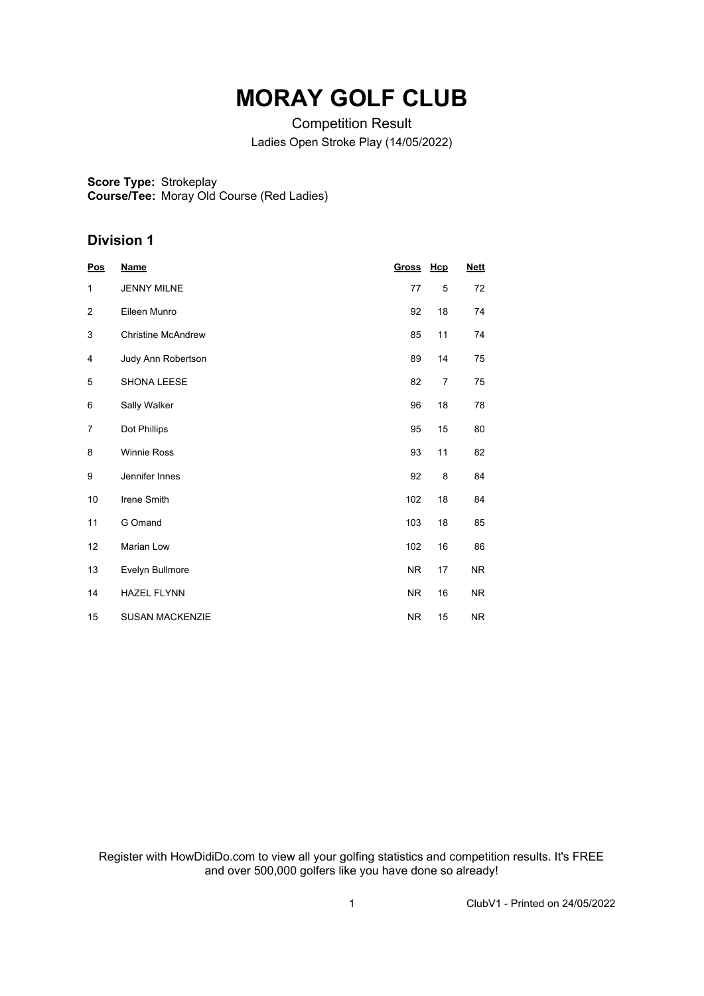## **MORAY GOLF CLUB**

Competition Result Ladies Open Stroke Play (14/05/2022)

**Score Type: Course/Tee:** Strokeplay Moray Old Course (Red Ladies)

## **Division 1**

| <b>Pos</b> | <b>Name</b>               | <u>Gross</u> | Hcp | <b>Nett</b> |
|------------|---------------------------|--------------|-----|-------------|
| 1          | <b>JENNY MILNE</b>        | 77           | 5   | 72          |
| 2          | Eileen Munro              | 92           | 18  | 74          |
| 3          | <b>Christine McAndrew</b> | 85           | 11  | 74          |
| 4          | Judy Ann Robertson        | 89           | 14  | 75          |
| 5          | SHONA LEESE               | 82           | 7   | 75          |
| 6          | Sally Walker              | 96           | 18  | 78          |
| 7          | Dot Phillips              | 95           | 15  | 80          |
| 8          | <b>Winnie Ross</b>        | 93           | 11  | 82          |
| 9          | Jennifer Innes            | 92           | 8   | 84          |
| 10         | Irene Smith               | 102          | 18  | 84          |
| 11         | G Omand                   | 103          | 18  | 85          |
| 12         | Marian Low                | 102          | 16  | 86          |
| 13         | Evelyn Bullmore           | <b>NR</b>    | 17  | NR.         |
| 14         | <b>HAZEL FLYNN</b>        | NR.          | 16  | NR.         |
| 15         | <b>SUSAN MACKENZIE</b>    | <b>NR</b>    | 15  | NR.         |

Register with HowDidiDo.com to view all your golfing statistics and competition results. It's FREE and over 500,000 golfers like you have done so already!